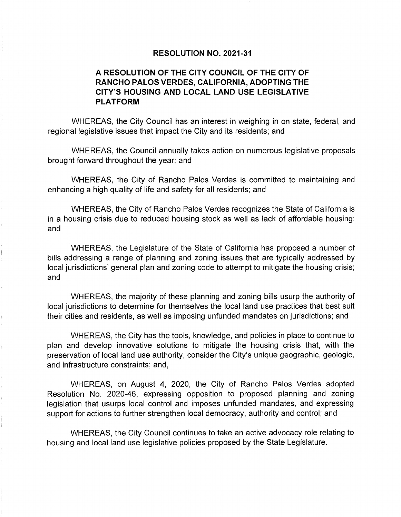## **RESOLUTION NO. 2021-31**

## **A RESOLUTION OF THE CITY COUNCIL OF THE CITY OF RANCHO PALOS VERDES, CALIFORNIA, ADOPTING THE CITY'S HOUSING AND LOCAL LAND USE LEGISLATIVE PLATFORM**

WHEREAS, the City Council has an interest in weighing in on state, federal, and regional legislative issues that impact the City and its residents; and

WHEREAS, the Council annually takes action on numerous legislative proposals brought forward throughout the year; and

WHEREAS, the City of Rancho Palos Verdes is committed to maintaining and enhancing a high quality of life and safety for all residents; and

WHEREAS, the City of Rancho Palos Verdes recognizes the State of California is in a housing crisis due to reduced housing stock as well as lack of affordable housing; and

WHEREAS, the Legislature of the State of California has proposed a number of bills addressing a range of planning and zoning issues that are typically addressed by local jurisdictions' general plan and zoning code to attempt to mitigate the housing crisis; and

WHEREAS, the majority of these planning and zoning bills usurp the authority of local jurisdictions to determine for themselves the local land use practices that best suit their cities and residents, as well as imposing unfunded mandates on jurisdictions; and

WHEREAS, the City has the tools, knowledge, and policies in place to continue to plan and develop innovative solutions to mitigate the housing crisis that, with the preservation of local land use authority, consider the City's unique geographic, geologic, and infrastructure constraints; and,

WHEREAS, on August 4, 2020, the City of Rancho Palos Verdes adopted Resolution No. 2020-46, expressing opposition to proposed planning and zoning legislation that usurps local control and imposes unfunded mandates, and expressing support for actions to further strengthen local democracy, authority and control; and

WHEREAS, the City Council continues to take an active advocacy role relating to housing and local land use legislative policies proposed by the State Legislature.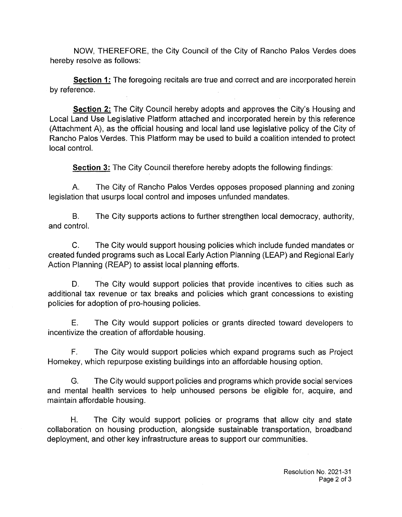NOW, THEREFORE, the City Council of the City of Rancho Palos Verdes does hereby resolve as follows:

**Section 1:** The foregoing recitals are true and correct and are incorporated herein by reference.

**Section 2:** The City Council hereby adopts and approves the City's Housing and Local Land Use Legislative Platform attached and incorporated herein by this reference (Attachment A), as the official housing and local land use legislative policy of the City of Rancho Palos Verdes. This Platform may be used to build a coalition intended to protect local control.

**Section 3:** The City Council therefore hereby adopts the following findings:

A. The City of Rancho Palos Verdes opposes proposed planning and zoning legislation that usurps local control and imposes unfunded mandates.

B. The City supports actions to further strengthen local democracy, authority, and control.

C. The City would support housing policies which include funded mandates or created funded programs such as Local Early Action Planning (LEAP) and Regional Early Action Planning (REAP) to assist local planning efforts.

D. The City would support policies that provide incentives to cities such as additional tax revenue or tax breaks and policies which grant concessions to existing policies for adoption of pro-housing policies.

E. The City would support policies or grants directed toward developers to incentivize the creation of affordable housing.

F. The City would support policies which expand programs such as Project Homekey, which repurpose existing buildings into an affordable housing option.

G. The City would support policies and programs which provide social services and mental health services to help unhoused persons be eligible for, acquire, and maintain affordable housing.

H. The City would support policies or programs that allow city and state collaboration on housing production, alongside sustainable transportation, broadband deployment, and other key infrastructure areas to support our communities.